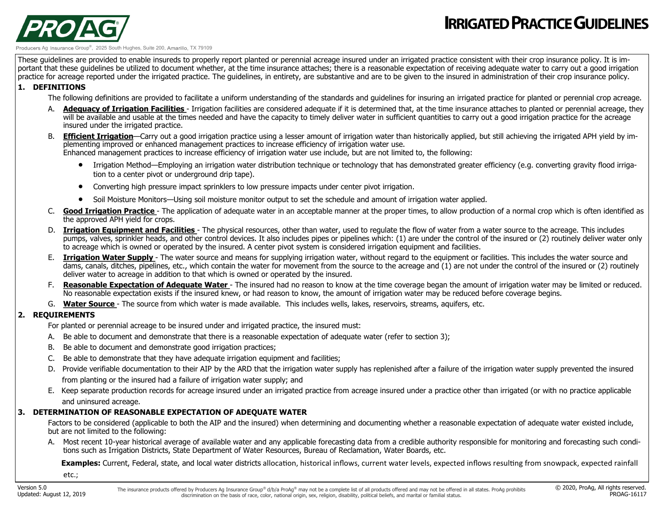

#### Ag Insurance Group<sup>®</sup>, 2025 South Hughes, Suite 200, Amarillo, TX 79109

These guidelines are provided to enable insureds to properly report planted or perennial acreage insured under an irrigated practice consistent with their crop insurance policy. It is important that these quidelines be utilized to document whether, at the time insurance attaches; there is a reasonable expectation of receiving adequate water to carry out a good irrigation practice for acreage reported under the irrigated practice. The guidelines, in entirety, are substantive and are to be given to the insured in administration of their crop insurance policy.

#### **1. DEFINITIONS**

PRO A

The following definitions are provided to facilitate a uniform understanding of the standards and guidelines for insuring an irrigated practice for planted or perennial crop acreage.

- A. **Adequacy of Irrigation Facilities** Irrigation facilities are considered adequate if it is determined that, at the time insurance attaches to planted or perennial acreage, they will be available and usable at the times needed and have the capacity to timely deliver water in sufficient quantities to carry out a good irrigation practice for the acreage insured under the irrigated practice.
- B. **Efficient Irrigation**—Carry out a good irrigation practice using a lesser amount of irrigation water than historically applied, but still achieving the irrigated APH yield by implementing improved or enhanced management practices to increase efficiency of irrigation water use. Enhanced management practices to increase efficiency of irrigation water use include, but are not limited to, the following:

• Irrigation Method—Employing an irrigation water distribution technique or technology that has demonstrated greater efficiency (e.g. converting gravity flood irriga-

- tion to a center pivot or underground drip tape).
- Converting high pressure impact sprinklers to low pressure impacts under center pivot irrigation.
- Soil Moisture Monitors—Using soil moisture monitor output to set the schedule and amount of irrigation water applied.
- C. **Good Irrigation Practice**  The application of adequate water in an acceptable manner at the proper times, to allow production of a normal crop which is often identified as the approved APH yield for crops.
- D. **Irrigation Equipment and Facilities**  The physical resources, other than water, used to regulate the flow of water from a water source to the acreage. This includes pumps, valves, sprinkler heads, and other control devices. It also includes pipes or pipelines which: (1) are under the control of the insured or (2) routinely deliver water only to acreage which is owned or operated by the insured. A center pivot system is considered irrigation equipment and facilities.
- E. **Irrigation Water Supply**  The water source and means for supplying irrigation water, without regard to the equipment or facilities. This includes the water source and dams, canals, ditches, pipelines, etc., which contain the water for movement from the source to the acreage and (1) are not under the control of the insured or (2) routinely deliver water to acreage in addition to that which is owned or operated by the insured.
- F. Reasonable Expectation of Adequate Water The insured had no reason to know at the time coverage began the amount of irrigation water may be limited or reduced. No reasonable expectation exists if the insured knew, or had reason to know, the amount of irrigation water may be reduced before coverage begins.
- G. **Water Source**  The source from which water is made available. This includes wells, lakes, reservoirs, streams, aquifers, etc.

### **2. REQUIREMENTS**

For planted or perennial acreage to be insured under and irrigated practice, the insured must:

- A. Be able to document and demonstrate that there is a reasonable expectation of adequate water (refer to section 3);
- B. Be able to document and demonstrate good irrigation practices;
- C. Be able to demonstrate that they have adequate irrigation equipment and facilities;
- D. Provide verifiable documentation to their AIP by the ARD that the irrigation water supply has replenished after a failure of the irrigation water supply prevented the insured from planting or the insured had a failure of irrigation water supply; and
- E. Keep separate production records for acreage insured under an irrigated practice from acreage insured under a practice other than irrigated (or with no practice applicable and uninsured acreage.

### **3. DETERMINATION OF REASONABLE EXPECTATION OF ADEQUATE WATER**

Factors to be considered (applicable to both the AIP and the insured) when determining and documenting whether a reasonable expectation of adequate water existed include, but are not limited to the following:

A. Most recent 10-year historical average of available water and any applicable forecasting data from a credible authority responsible for monitoring and forecasting such conditions such as Irrigation Districts, State Department of Water Resources, Bureau of Reclamation, Water Boards, etc.

 **Examples:** Current, Federal, state, and local water districts allocation, historical inflows, current water levels, expected inflows resulting from snowpack, expected rainfall

etc.;